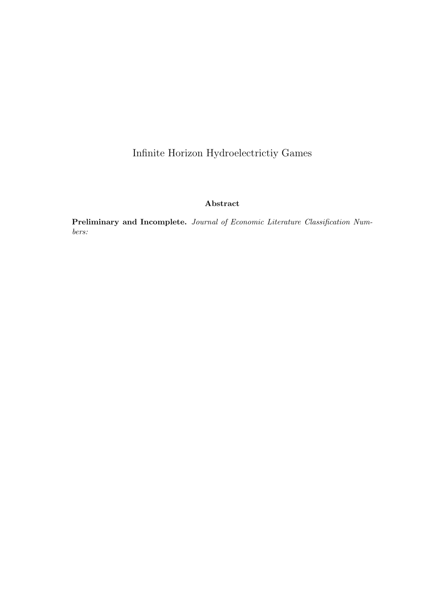Infinite Horizon Hydroelectrictiy Games

# Abstract

Preliminary and Incomplete. Journal of Economic Literature Classification Numbers: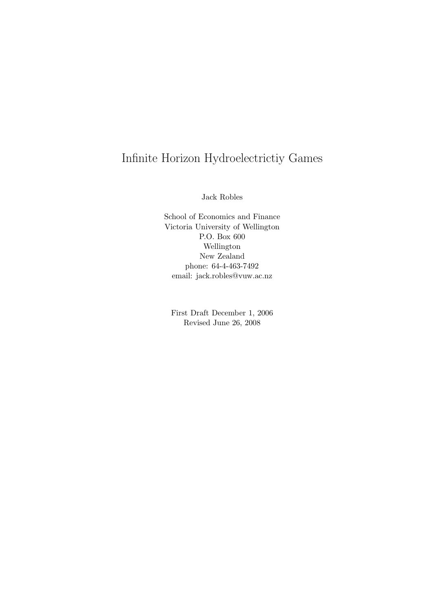# Infinite Horizon Hydroelectrictiy Games

Jack Robles

School of Economics and Finance Victoria University of Wellington P.O. Box 600 Wellington New Zealand phone: 64-4-463-7492 email: jack.robles@vuw.ac.nz

First Draft December 1, 2006 Revised June 26, 2008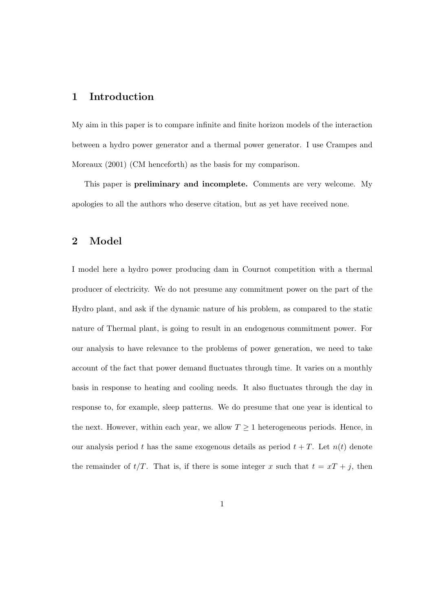## 1 Introduction

My aim in this paper is to compare infinite and finite horizon models of the interaction between a hydro power generator and a thermal power generator. I use Crampes and Moreaux (2001) (CM henceforth) as the basis for my comparison.

This paper is preliminary and incomplete. Comments are very welcome. My apologies to all the authors who deserve citation, but as yet have received none.

## 2 Model

I model here a hydro power producing dam in Cournot competition with a thermal producer of electricity. We do not presume any commitment power on the part of the Hydro plant, and ask if the dynamic nature of his problem, as compared to the static nature of Thermal plant, is going to result in an endogenous commitment power. For our analysis to have relevance to the problems of power generation, we need to take account of the fact that power demand fluctuates through time. It varies on a monthly basis in response to heating and cooling needs. It also fluctuates through the day in response to, for example, sleep patterns. We do presume that one year is identical to the next. However, within each year, we allow  $T \geq 1$  heterogeneous periods. Hence, in our analysis period t has the same exogenous details as period  $t + T$ . Let  $n(t)$  denote the remainder of  $t/T$ . That is, if there is some integer x such that  $t = xT + j$ , then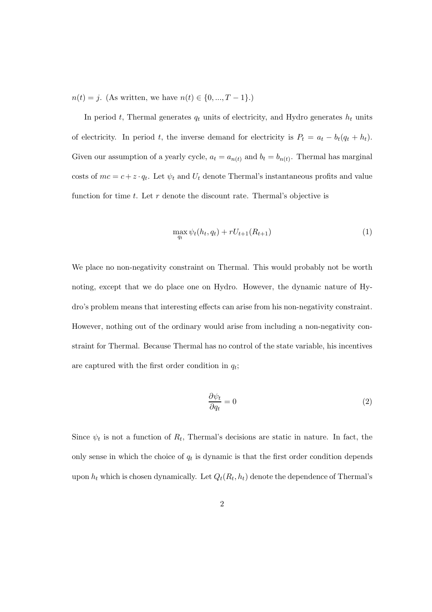$n(t)=j.$  (As written, we have  $n(t)\in\{0,...,T-1\}.$ 

In period t, Thermal generates  $q_t$  units of electricity, and Hydro generates  $h_t$  units of electricity. In period t, the inverse demand for electricity is  $P_t = a_t - b_t(q_t + h_t)$ . Given our assumption of a yearly cycle,  $a_t = a_{n(t)}$  and  $b_t = b_{n(t)}$ . Thermal has marginal costs of  $mc = c + z \cdot q_t$ . Let  $\psi_t$  and  $U_t$  denote Thermal's instantaneous profits and value function for time  $t$ . Let  $r$  denote the discount rate. Thermal's objective is

$$
\max_{q_t} \psi_t(h_t, q_t) + r U_{t+1}(R_{t+1})
$$
\n(1)

We place no non-negativity constraint on Thermal. This would probably not be worth noting, except that we do place one on Hydro. However, the dynamic nature of Hydro's problem means that interesting effects can arise from his non-negativity constraint. However, nothing out of the ordinary would arise from including a non-negativity constraint for Thermal. Because Thermal has no control of the state variable, his incentives are captured with the first order condition in  $q_t$ ;

$$
\frac{\partial \psi_t}{\partial q_t} = 0 \tag{2}
$$

Since  $\psi_t$  is not a function of  $R_t$ , Thermal's decisions are static in nature. In fact, the only sense in which the choice of  $q_t$  is dynamic is that the first order condition depends upon  $h_t$  which is chosen dynamically. Let  $Q_t(R_t,h_t)$  denote the dependence of Thermal's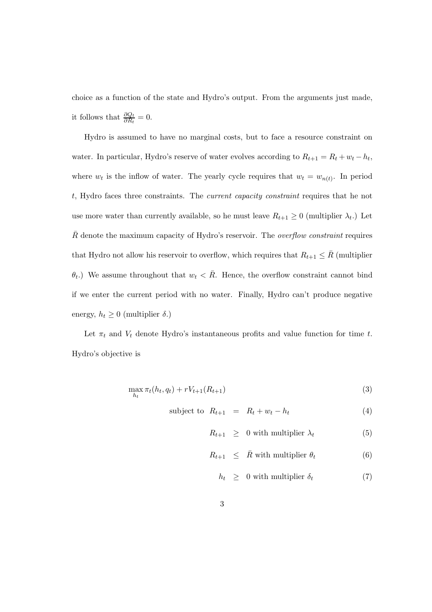choice as a function of the state and Hydro's output. From the arguments just made, it follows that  $\frac{\partial Q_t}{\partial R_t} = 0$ .

Hydro is assumed to have no marginal costs, but to face a resource constraint on water. In particular, Hydro's reserve of water evolves according to  $R_{t+1} = R_t + w_t - h_t$ , where  $w_t$  is the inflow of water. The yearly cycle requires that  $w_t = w_{n(t)}$ . In period t, Hydro faces three constraints. The current capacity constraint requires that he not use more water than currently available, so he must leave  $R_{t+1} \geq 0$  (multiplier  $\lambda_t$ .) Let  $\bar{R}$  denote the maximum capacity of Hydro's reservoir. The *overflow constraint* requires that Hydro not allow his reservoir to overflow, which requires that  $R_{t+1} \leq R$  (multiplier  $\theta_t$ .) We assume throughout that  $w_t < \bar{R}$ . Hence, the overflow constraint cannot bind if we enter the current period with no water. Finally, Hydro can't produce negative energy,  $h_t \geq 0$  (multiplier  $\delta$ .)

Let  $\pi_t$  and  $V_t$  denote Hydro's instantaneous profits and value function for time t. Hydro's objective is

$$
\max_{h_t} \pi_t(h_t, q_t) + rV_{t+1}(R_{t+1})
$$
\n(3)

subject to  $R_{t+1} = R_t + w_t - h_t$  (4)

$$
R_{t+1} \geq 0 \text{ with multiplier } \lambda_t \tag{5}
$$

$$
R_{t+1} \leq \bar{R} \text{ with multiplier } \theta_t \tag{6}
$$

$$
h_t \geq 0 \text{ with multiplier } \delta_t \tag{7}
$$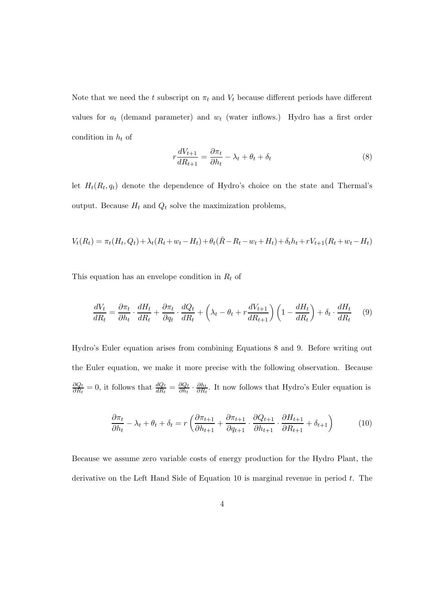Note that we need the t subscript on  $\pi_t$  and  $V_t$  because different periods have different values for  $a_t$  (demand parameter) and  $w_t$  (water inflows.) Hydro has a first order condition in  $h_t$  of

$$
r\frac{dV_{t+1}}{dR_{t+1}} = \frac{\partial \pi_t}{\partial h_t} - \lambda_t + \theta_t + \delta_t
$$
\n<sup>(8)</sup>

let  $H_t(R_t, q_t)$  denote the dependence of Hydro's choice on the state and Thermal's output. Because  $H_t$  and  $Q_t$  solve the maximization problems,

$$
V_t(R_t) = \pi_t(H_t, Q_t) + \lambda_t(R_t + w_t - H_t) + \theta_t(\bar{R} - R_t - w_t + H_t) + \delta_t h_t + rV_{t+1}(R_t + w_t - H_t)
$$

This equation has an envelope condition in  $R_t$  of

$$
\frac{dV_t}{dR_t} = \frac{\partial \pi_t}{\partial h_t} \cdot \frac{dH_t}{dR_t} + \frac{\partial \pi_t}{\partial q_t} \cdot \frac{dQ_t}{dR_t} + \left(\lambda_t - \theta_t + r \frac{dV_{t+1}}{dR_{t+1}}\right) \left(1 - \frac{dH_t}{dR_t}\right) + \delta_t \cdot \frac{dH_t}{dR_t} \tag{9}
$$

Hydro's Euler equation arises from combining Equations 8 and 9. Before writing out the Euler equation, we make it more precise with the following observation. Because  $\partial Q_t$  $\frac{\partial Q_t}{\partial R_t} = 0$ , it follows that  $\frac{dQ_t}{dR_t} = \frac{\partial Q_t}{\partial h_t}$  $\frac{\partial Q_t}{\partial h_t} \cdot \frac{\partial h_t}{\partial R_t}$  $\frac{\partial h_t}{\partial R_t}$ . It now follows that Hydro's Euler equation is

$$
\frac{\partial \pi_t}{\partial h_t} - \lambda_t + \theta_t + \delta_t = r \left( \frac{\partial \pi_{t+1}}{\partial h_{t+1}} + \frac{\partial \pi_{t+1}}{\partial q_{t+1}} \cdot \frac{\partial Q_{t+1}}{\partial h_{t+1}} \cdot \frac{\partial H_{t+1}}{\partial R_{t+1}} + \delta_{t+1} \right)
$$
(10)

Because we assume zero variable costs of energy production for the Hydro Plant, the derivative on the Left Hand Side of Equation 10 is marginal revenue in period t. The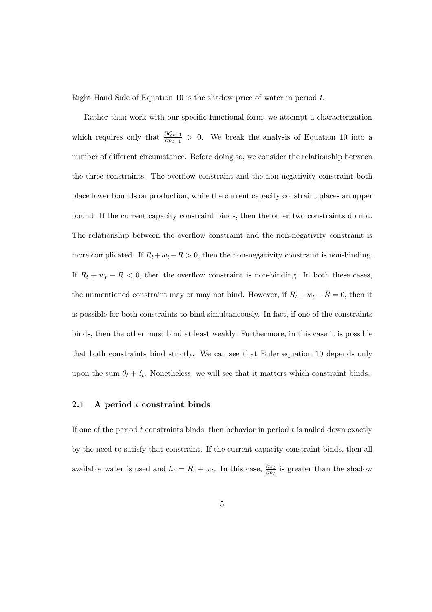Right Hand Side of Equation 10 is the shadow price of water in period  $t$ .

Rather than work with our specific functional form, we attempt a characterization which requires only that  $\frac{\partial Q_{t+1}}{\partial h_{t+1}} > 0$ . We break the analysis of Equation 10 into a number of different circumstance. Before doing so, we consider the relationship between the three constraints. The overflow constraint and the non-negativity constraint both place lower bounds on production, while the current capacity constraint places an upper bound. If the current capacity constraint binds, then the other two constraints do not. The relationship between the overflow constraint and the non-negativity constraint is more complicated. If  $R_t + w_t - \bar{R} > 0$ , then the non-negativity constraint is non-binding. If  $R_t + w_t - \bar{R} < 0$ , then the overflow constraint is non-binding. In both these cases, the unmentioned constraint may or may not bind. However, if  $R_t + w_t - \overline{R} = 0$ , then it is possible for both constraints to bind simultaneously. In fact, if one of the constraints binds, then the other must bind at least weakly. Furthermore, in this case it is possible that both constraints bind strictly. We can see that Euler equation 10 depends only upon the sum  $\theta_t + \delta_t$ . Nonetheless, we will see that it matters which constraint binds.

#### 2.1 A period  $t$  constraint binds

If one of the period  $t$  constraints binds, then behavior in period  $t$  is nailed down exactly by the need to satisfy that constraint. If the current capacity constraint binds, then all available water is used and  $h_t = R_t + w_t$ . In this case,  $\frac{\partial \pi_t}{\partial h_t}$  is greater than the shadow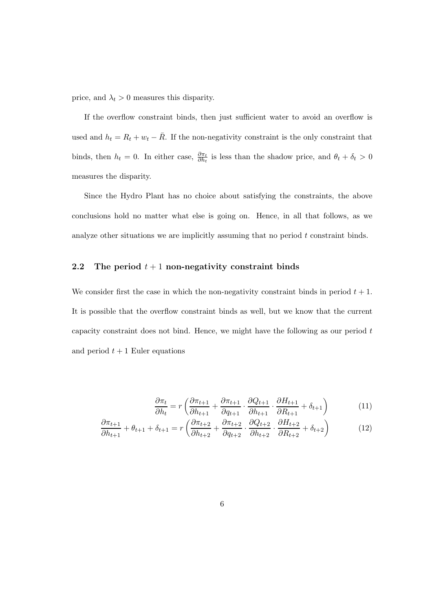price, and  $\lambda_t > 0$  measures this disparity.

If the overflow constraint binds, then just sufficient water to avoid an overflow is used and  $h_t = R_t + w_t - \overline{R}$ . If the non-negativity constraint is the only constraint that binds, then  $h_t = 0$ . In either case,  $\frac{\partial \pi_t}{\partial h_t}$  is less than the shadow price, and  $\theta_t + \delta_t > 0$ measures the disparity.

Since the Hydro Plant has no choice about satisfying the constraints, the above conclusions hold no matter what else is going on. Hence, in all that follows, as we analyze other situations we are implicitly assuming that no period  $t$  constraint binds.

#### 2.2 The period  $t + 1$  non-negativity constraint binds

We consider first the case in which the non-negativity constraint binds in period  $t + 1$ . It is possible that the overflow constraint binds as well, but we know that the current capacity constraint does not bind. Hence, we might have the following as our period  $t$ and period  $t + 1$  Euler equations

$$
\frac{\partial \pi_t}{\partial h_t} = r \left( \frac{\partial \pi_{t+1}}{\partial h_{t+1}} + \frac{\partial \pi_{t+1}}{\partial q_{t+1}} \cdot \frac{\partial Q_{t+1}}{\partial h_{t+1}} \cdot \frac{\partial H_{t+1}}{\partial R_{t+1}} + \delta_{t+1} \right)
$$
(11)

$$
\frac{\partial \pi_{t+1}}{\partial h_{t+1}} + \theta_{t+1} + \delta_{t+1} = r \left( \frac{\partial \pi_{t+2}}{\partial h_{t+2}} + \frac{\partial \pi_{t+2}}{\partial q_{t+2}} \cdot \frac{\partial Q_{t+2}}{\partial h_{t+2}} \cdot \frac{\partial H_{t+2}}{\partial R_{t+2}} + \delta_{t+2} \right)
$$
(12)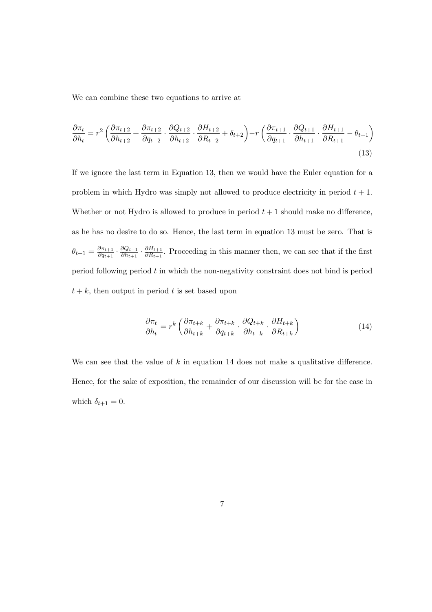We can combine these two equations to arrive at

$$
\frac{\partial \pi_t}{\partial h_t} = r^2 \left( \frac{\partial \pi_{t+2}}{\partial h_{t+2}} + \frac{\partial \pi_{t+2}}{\partial q_{t+2}} \cdot \frac{\partial Q_{t+2}}{\partial h_{t+2}} \cdot \frac{\partial H_{t+2}}{\partial R_{t+2}} + \delta_{t+2} \right) - r \left( \frac{\partial \pi_{t+1}}{\partial q_{t+1}} \cdot \frac{\partial Q_{t+1}}{\partial h_{t+1}} \cdot \frac{\partial H_{t+1}}{\partial R_{t+1}} - \theta_{t+1} \right)
$$
\n(13)

If we ignore the last term in Equation 13, then we would have the Euler equation for a problem in which Hydro was simply not allowed to produce electricity in period  $t + 1$ . Whether or not Hydro is allowed to produce in period  $t + 1$  should make no difference, as he has no desire to do so. Hence, the last term in equation 13 must be zero. That is  $\theta_{t+1} = \frac{\partial \pi_{t+1}}{\partial a_{t+1}}$  $\frac{\partial \pi_{t+1}}{\partial q_{t+1}}\cdot \frac{\partial Q_{t+1}}{\partial h_{t+1}}$  $\frac{\partial Q_{t+1}}{\partial h_{t+1}}\cdot \frac{\partial H_{t+1}}{\partial R_{t+1}}$  $\frac{\partial H_{t+1}}{\partial R_{t+1}}$ . Proceeding in this manner then, we can see that if the first period following period  $t$  in which the non-negativity constraint does not bind is period  $t + k$ , then output in period t is set based upon

$$
\frac{\partial \pi_t}{\partial h_t} = r^k \left( \frac{\partial \pi_{t+k}}{\partial h_{t+k}} + \frac{\partial \pi_{t+k}}{\partial q_{t+k}} \cdot \frac{\partial Q_{t+k}}{\partial h_{t+k}} \cdot \frac{\partial H_{t+k}}{\partial R_{t+k}} \right) \tag{14}
$$

We can see that the value of  $k$  in equation 14 does not make a qualitative difference. Hence, for the sake of exposition, the remainder of our discussion will be for the case in which  $\delta_{t+1} = 0$ .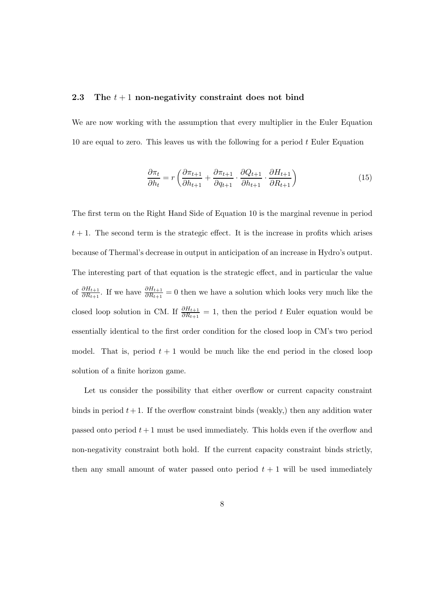# 2.3 The  $t + 1$  non-negativity constraint does not bind

We are now working with the assumption that every multiplier in the Euler Equation 10 are equal to zero. This leaves us with the following for a period  $t$  Euler Equation

$$
\frac{\partial \pi_t}{\partial h_t} = r \left( \frac{\partial \pi_{t+1}}{\partial h_{t+1}} + \frac{\partial \pi_{t+1}}{\partial q_{t+1}} \cdot \frac{\partial Q_{t+1}}{\partial h_{t+1}} \cdot \frac{\partial H_{t+1}}{\partial R_{t+1}} \right)
$$
(15)

The first term on the Right Hand Side of Equation 10 is the marginal revenue in period  $t + 1$ . The second term is the strategic effect. It is the increase in profits which arises because of Thermal's decrease in output in anticipation of an increase in Hydro's output. The interesting part of that equation is the strategic effect, and in particular the value of  $\frac{\partial H_{t+1}}{\partial R_{t+1}}$ . If we have  $\frac{\partial H_{t+1}}{\partial R_{t+1}} = 0$  then we have a solution which looks very much like the closed loop solution in CM. If  $\frac{\partial H_{t+1}}{\partial R_{t+1}} = 1$ , then the period t Euler equation would be essentially identical to the first order condition for the closed loop in CM's two period model. That is, period  $t + 1$  would be much like the end period in the closed loop solution of a finite horizon game.

Let us consider the possibility that either overflow or current capacity constraint binds in period  $t+1$ . If the overflow constraint binds (weakly,) then any addition water passed onto period  $t + 1$  must be used immediately. This holds even if the overflow and non-negativity constraint both hold. If the current capacity constraint binds strictly, then any small amount of water passed onto period  $t + 1$  will be used immediately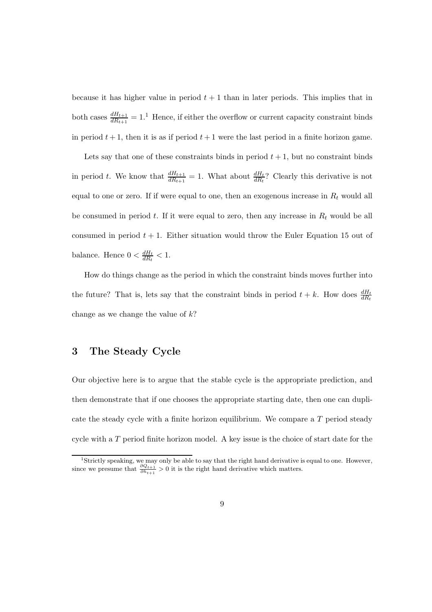because it has higher value in period  $t + 1$  than in later periods. This implies that in both cases  $\frac{dH_{t+1}}{dR_{t+1}} = 1$ .<sup>1</sup> Hence, if either the overflow or current capacity constraint binds in period  $t + 1$ , then it is as if period  $t + 1$  were the last period in a finite horizon game.

Lets say that one of these constraints binds in period  $t + 1$ , but no constraint binds in period t. We know that  $\frac{dH_{t+1}}{dR_{t+1}} = 1$ . What about  $\frac{dH_t}{dR_t}$ ? Clearly this derivative is not equal to one or zero. If if were equal to one, then an exogenous increase in  $R_t$  would all be consumed in period t. If it were equal to zero, then any increase in  $R_t$  would be all consumed in period  $t + 1$ . Either situation would throw the Euler Equation 15 out of balance. Hence  $0 < \frac{dH_t}{dR_t}$  $\frac{dH_t}{dR_t} < 1.$ 

How do things change as the period in which the constraint binds moves further into the future? That is, lets say that the constraint binds in period  $t + k$ . How does  $\frac{dH_t}{dR_t}$ change as we change the value of  $k$ ?

### 3 The Steady Cycle

Our objective here is to argue that the stable cycle is the appropriate prediction, and then demonstrate that if one chooses the appropriate starting date, then one can duplicate the steady cycle with a finite horizon equilibrium. We compare a  $T$  period steady cycle with a T period finite horizon model. A key issue is the choice of start date for the

<sup>1</sup>Strictly speaking, we may only be able to say that the right hand derivative is equal to one. However, since we presume that  $\frac{\partial Q_{t+1}}{\partial h_{t+1}} > 0$  it is the right hand derivative which matters.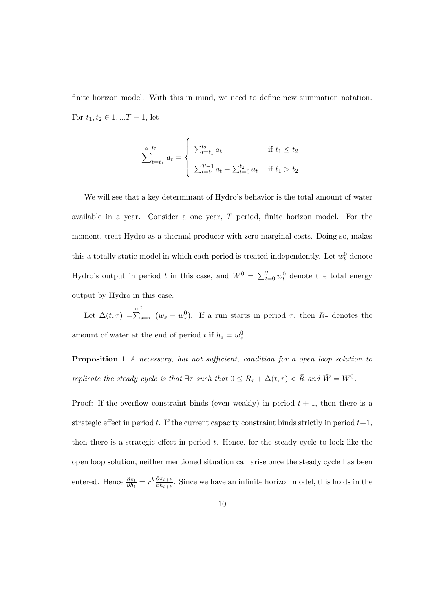finite horizon model. With this in mind, we need to define new summation notation. For  $t_1, t_2 \in 1, ...T - 1$ , let

$$
\sum_{t=t_1}^{\circ} a_t = \begin{cases} \sum_{t=t_1}^{t_2} a_t & \text{if } t_1 \le t_2 \\ \sum_{t=t_1}^{T-1} a_t + \sum_{t=0}^{t_2} a_t & \text{if } t_1 > t_2 \end{cases}
$$

We will see that a key determinant of Hydro's behavior is the total amount of water available in a year. Consider a one year, T period, finite horizon model. For the moment, treat Hydro as a thermal producer with zero marginal costs. Doing so, makes this a totally static model in which each period is treated independently. Let  $w_t^0$  denote Hydro's output in period t in this case, and  $W^0 = \sum_{t=0}^{T} w_t^0$  denote the total energy output by Hydro in this case.

Let  $\Delta(t,\tau) = \sum_{s=\tau}^{\circ} (w_s - w_s^0)$ . If a run starts in period  $\tau$ , then  $R_{\tau}$  denotes the amount of water at the end of period t if  $h_s = w_s^0$ .

**Proposition 1** A necessary, but not sufficient, condition for a open loop solution to replicate the steady cycle is that  $\exists \tau$  such that  $0 \leq R_{\tau} + \Delta(t, \tau) < \bar{R}$  and  $\bar{W} = W^0$ .

Proof: If the overflow constraint binds (even weakly) in period  $t + 1$ , then there is a strategic effect in period t. If the current capacity constraint binds strictly in period  $t+1$ , then there is a strategic effect in period  $t$ . Hence, for the steady cycle to look like the open loop solution, neither mentioned situation can arise once the steady cycle has been entered. Hence  $\frac{\partial \pi_t}{\partial h_t} = r^k \frac{\partial \pi_{t+k}}{\partial h_{t+k}}$  $\frac{\partial \pi_{t+k}}{\partial h_{t+k}}$ . Since we have an infinite horizon model, this holds in the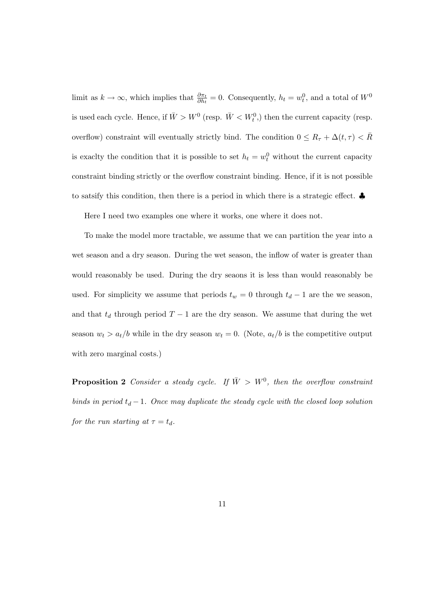limit as  $k \to \infty$ , which implies that  $\frac{\partial \pi_t}{\partial h_t} = 0$ . Consequently,  $h_t = w_t^0$ , and a total of  $W^0$ is used each cycle. Hence, if  $\bar{W} > W^0$  (resp.  $\bar{W} < W_t^0$ ) then the current capacity (resp. overflow) constraint will eventually strictly bind. The condition  $0 \leq R_{\tau} + \Delta(t, \tau) < \bar{R}$ is exactly the condition that it is possible to set  $h_t = w_t^0$  without the current capacity constraint binding strictly or the overflow constraint binding. Hence, if it is not possible to satsify this condition, then there is a period in which there is a strategic effect. ♣

Here I need two examples one where it works, one where it does not.

To make the model more tractable, we assume that we can partition the year into a wet season and a dry season. During the wet season, the inflow of water is greater than would reasonably be used. During the dry seaons it is less than would reasonably be used. For simplicity we assume that periods  $t_w = 0$  through  $t_d - 1$  are the we season, and that  $t_d$  through period  $T - 1$  are the dry season. We assume that during the wet season  $w_t > a_t/b$  while in the dry season  $w_t = 0$ . (Note,  $a_t/b$  is the competitive output with zero marginal costs.)

**Proposition 2** Consider a steady cycle. If  $\overline{W} > W^0$ , then the overflow constraint binds in period  $t_d - 1$ . Once may duplicate the steady cycle with the closed loop solution for the run starting at  $\tau = t_d$ .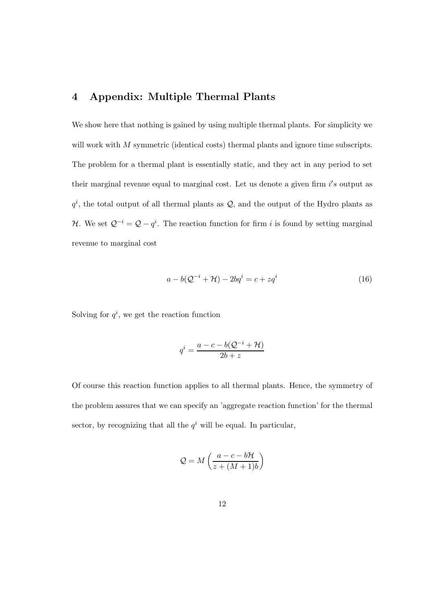# 4 Appendix: Multiple Thermal Plants

We show here that nothing is gained by using multiple thermal plants. For simplicity we will work with M symmetric (identical costs) thermal plants and ignore time subscripts. The problem for a thermal plant is essentially static, and they act in any period to set their marginal revenue equal to marginal cost. Let us denote a given firm  $i's$  output as  $q^i$ , the total output of all thermal plants as  $\mathcal{Q}$ , and the output of the Hydro plants as H. We set  $\mathcal{Q}^{-i} = \mathcal{Q} - q^i$ . The reaction function for firm i is found by setting marginal revenue to marginal cost

$$
a - b(\mathcal{Q}^{-i} + \mathcal{H}) - 2bq^{i} = c + zq^{i}
$$
\n<sup>(16)</sup>

Solving for  $q^i$ , we get the reaction function

$$
q^i = \frac{a-c-b(\mathcal{Q}^{-i} + \mathcal{H})}{2b+z}
$$

Of course this reaction function applies to all thermal plants. Hence, the symmetry of the problem assures that we can specify an 'aggregate reaction function' for the thermal sector, by recognizing that all the  $q<sup>i</sup>$  will be equal. In particular,

$$
Q = M\left(\frac{a-c-b\mathcal{H}}{z+(M+1)b}\right)
$$